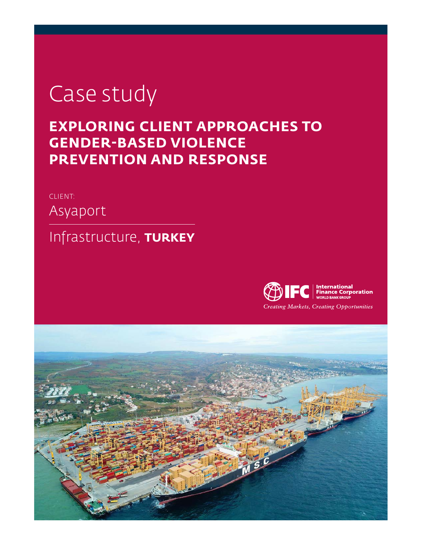# Case study

## **EXPLORING CLIENT APPROACHES TO GENDER-BASED VIOLENCE PREVENTION AND RESPONSE**

## CLIENT:

Asyaport

## Infrastructure, **TURKEY**



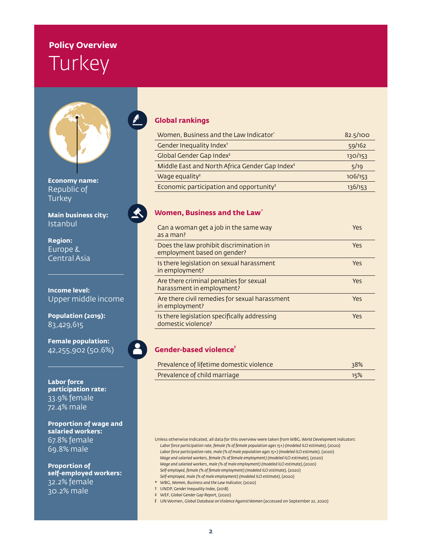## **Policy Overview Turkey**



**Economy name:** Republic of **Turkey** 

**Main business city:** Istanbul

**Region:** Europe & Central Asia

**Income level:** Upper middle income

**Population (2019):** 83,429,615

**Female population:** 42,255,902 (50.6%)

 $\blacktriangle$ 

**Labor force participation rate:** 33.9% female 72.4% male

**Proportion of wage and salaried workers:** 67.8% female 69.8% male

**Proportion of self-employed workers:** 32.2% female 30.2% male

#### **Global rankings**

| Women, Business and the Law Indicator <sup>®</sup>         | 82.5/100 |
|------------------------------------------------------------|----------|
| Gender Inequality Index <sup>+</sup>                       | 59/162   |
| Global Gender Gap Index <sup>#</sup>                       | 130/153  |
| Middle East and North Africa Gender Gap Index <sup>#</sup> | 5/19     |
| Wage equality <sup>#</sup>                                 | 106/153  |
| Economic participation and opportunity <sup>#</sup>        | 136/153  |

#### **Women, Business and the Law**<sup>\*</sup>

| Can a woman get a job in the same way<br>as a man?                     | Yes |
|------------------------------------------------------------------------|-----|
| Does the law prohibit discrimination in<br>employment based on gender? | Yes |
| Is there legislation on sexual harassment<br>in employment?            | Yes |
| Are there criminal penalties for sexual<br>harassment in employment?   | Yes |
| Are there civil remedies for sexual harassment<br>in employment?       | Yes |
| Is there legislation specifically addressing<br>domestic violence?     | Yes |

**Gender-based violence§**

| Prevalence of lifetime domestic violence | 38% |
|------------------------------------------|-----|
| Prevalence of child marriage             | 15% |

Unless otherwise indicated, all data for this overview were taken from WBG, *World Development Indicators:* Labor force participation rate, female (% of female population ages 15+) (modeled ILO estimate), (2020) Labor force participation rate, male (% of male population ages 15+) (modeled ILO estimate), (2020) *Wage and salaried workers, female (% of female employment) (modeled ILO estimate),* (2020) *Wage and salaried workers, male (% of male employment) (modeled ILO estimate),*(2020) *Self-employed, female (% of female employment) (modeled ILO estimate),* (2020) *Self-employed, male (% of male employment) (modeled ILO estimate),* (2020)

- ★ WBG, *Women, Business and the Law Indicator,* (2020)
- † UNDP, *Gender Inequality Index,* (2018)
- ‡ WEF, *Global Gender Gap Report,* (2020)
- § UN Women, *Global Database on Violence Against Women* (accessed on September 22, 2020)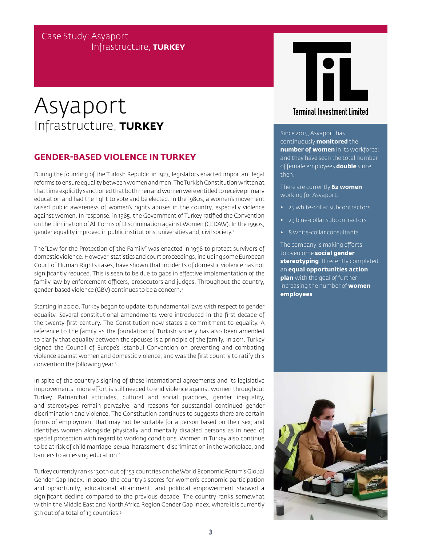## Case Study: Asyaport Infrastructure, **TURKEY**

## Asyaport Infrastructure, **TURKEY**

### **GENDER-BASED VIOLENCE IN TURKEY**

During the founding of the Turkish Republic in 1923, legislators enacted important legal reforms to ensure equality between women and men. The Turkish Constitution written at that time explicitly sanctioned that both men and women were entitled to receive primary education and had the right to vote and be elected. In the 1980s, a women's movement raised public awareness of women's rights abuses in the country, especially violence against women. In response, in 1985, the Government of Turkey ratified the Convention on the Elimination of All Forms of Discrimination against Women (CEDAW). In the 1990s, gender equality improved in public institutions, universities and, civil society.1

The "Law for the Protection of the Family" was enacted in 1998 to protect survivors of domestic violence. However, statistics and court proceedings, including some European Court of Human Rights cases, have shown that incidents of domestic violence has not significantly reduced. This is seen to be due to gaps in effective implementation of the family law by enforcement officers, prosecutors and judges. Throughout the country, gender-based violence (GBV) continues to be a concern.2

Starting in 2000, Turkey began to update its fundamental laws with respect to gender equality. Several constitutional amendments were introduced in the first decade of the twenty-first century. The Constitution now states a commitment to equality. A reference to the family as the foundation of Turkish society has also been amended to clarify that equality between the spouses is a principle of the family. In 2011, Turkey signed the Council of Europe's Istanbul Convention on preventing and combating violence against women and domestic violence; and was the first country to ratify this convention the following year.3

In spite of the country's signing of these international agreements and its legislative improvements, more effort is still needed to end violence against women throughout Turkey. Patriarchal attitudes, cultural and social practices, gender inequality, and stereotypes remain pervasive, and reasons for substantial continued gender discrimination and violence. The Constitution continues to suggests there are certain forms of employment that may not be suitable for a person based on their sex; and identifies women alongside physically and mentally disabled persons as in need of special protection with regard to working conditions. Women in Turkey also continue to be at risk of child marriage, sexual harassment, discrimination in the workplace, and barriers to accessing education.4

Turkey currently ranks 130th out of 153 countries on the World Economic Forum's Global Gender Gap Index. In 2020, the country's scores for women's economic participation and opportunity, educational attainment, and political empowerment showed a significant decline compared to the previous decade. The country ranks somewhat within the Middle East and North Africa Region Gender Gap Index, where it is currently 5th out of a total of 19 countries.<sup>5</sup>



### **Terminal Investment Limited**

Since 2015, Asyaport has continuously **monitored** the **number of women** in its workforce; and they have seen the total number of female employees **double** since then.

There are currently **62 women**  working for Asyaport:

- 25 white-collar subcontractors
- 29 blue-collar subcontractors
- 8 white-collar consultants

The company is making efforts to overcome **social gender stereotyping**. It recently completed an **equal opportunities action plan** with the goal of further increasing the number of **women employees**.

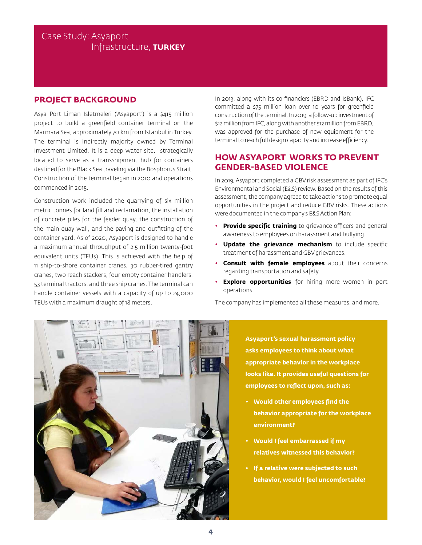### Case Study: Asyaport Infrastructure, **TURKEY**

#### **PROJECT BACKGROUND**

Asya Port Liman Isletmeleri ('Asyaport') is a \$415 million project to build a greenfield container terminal on the Marmara Sea, approximately 70 km from Istanbul in Turkey. The terminal is indirectly majority owned by Terminal Investment Limited. It is a deep-water site, strategically located to serve as a transshipment hub for containers destined for the Black Sea traveling via the Bosphorus Strait. Construction of the terminal began in 2010 and operations commenced in 2015.

Construction work included the quarrying of six million metric tonnes for land fill and reclamation, the installation of concrete piles for the feeder quay, the construction of the main quay wall, and the paving and outfitting of the container yard. As of 2020, Asyaport is designed to handle a maximum annual throughput of 2.5 million twenty-foot equivalent units (TEUs). This is achieved with the help of 11 ship-to-shore container cranes, 30 rubber-tired gantry cranes, two reach stackers, four empty container handlers, 53 terminal tractors, and three ship cranes. The terminal can handle container vessels with a capacity of up to 24,000 TEUs with a maximum draught of 18 meters.

In 2013, along with its co-financiers (EBRD and IsBank), IFC committed a \$75 million loan over 10 years for greenfield construction of the terminal. In 2019, a follow-up investment of \$12 million from IFC, along with another \$12 million from EBRD, was approved for the purchase of new equipment for the terminal to reach full design capacity and increase efficiency.

### **HOW ASYAPORT WORKS TO PREVENT GENDER-BASED VIOLENCE**

In 2019, Asyaport completed a GBV risk assessment as part of IFC's Environmental and Social (E&S) review. Based on the results of this assessment, the company agreed to take actions to promote equal opportunities in the project and reduce GBV risks. These actions were documented in the company's E&S Action Plan:

- **Provide specific training** to grievance officers and general awareness to employees on harassment and bullying.
- **Update the grievance mechanism** to include specific treatment of harassment and GBV grievances.
- **Consult with female employees** about their concerns regarding transportation and safety.
- **Explore opportunities** for hiring more women in port operations.

The company has implemented all these measures, and more.



**Asyaport's sexual harassment policy asks employees to think about what appropriate behavior in the workplace looks like. It provides useful questions for employees to reflect upon, such as:**

- **• Would other employees find the behavior appropriate for the workplace environment?**
- **• Would I feel embarrassed if my relatives witnessed this behavior?**
- **• If a relative were subjected to such behavior, would I feel uncomfortable?**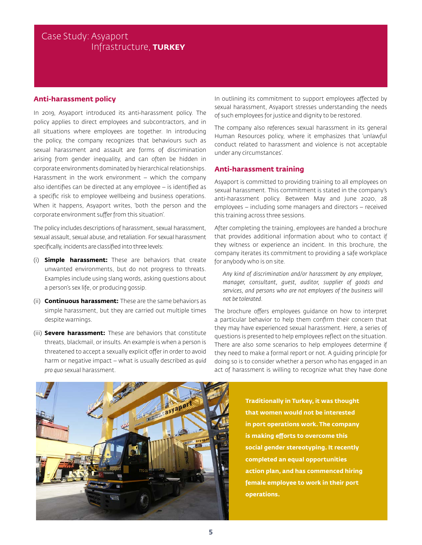## Case Study: Asyaport Infrastructure, **TURKEY**

#### **Anti-harassment policy**

In 2019, Asyaport introduced its anti-harassment policy. The policy applies to direct employees and subcontractors, and in all situations where employees are together. In introducing the policy, the company recognizes that behaviours such as sexual harassment and assault are forms of discrimination arising from gender inequality, and can often be hidden in corporate environments dominated by hierarchical relationships. Harassment in the work environment – which the company also identifies can be directed at any employee – is identified as a specific risk to employee wellbeing and business operations. When it happens, Asyaport writes, 'both the person and the corporate environment suffer from this situation'.

The policy includes descriptions of harassment, sexual harassment, sexual assault, sexual abuse, and retaliation. For sexual harassment specifically, incidents are classified into three levels:

- (i) **Simple harassment:** These are behaviors that create unwanted environments, but do not progress to threats. Examples include using slang words, asking questions about a person's sex life, or producing gossip.
- (ii) **Continuous harassment:** These are the same behaviors as simple harassment, but they are carried out multiple times despite warnings.
- (iii) **Severe harassment:** These are behaviors that constitute threats, blackmail, or insults. An example is when a person is threatened to accept a sexually explicit offer in order to avoid harm or negative impact – what is usually described as *quid pro quo* sexual harassment.

In outlining its commitment to support employees affected by sexual harassment, Asyaport stresses understanding the needs of such employees for justice and dignity to be restored.

The company also references sexual harassment in its general Human Resources policy, where it emphasizes that 'unlawful conduct related to harassment and violence is not acceptable under any circumstances'.

#### **Anti-harassment training**

Asyaport is committed to providing training to all employees on sexual harassment. This commitment is stated in the company's anti-harassment policy. Between May and June 2020, 28 employees – including some managers and directors – received this training across three sessions.

After completing the training, employees are handed a brochure that provides additional information about who to contact if they witness or experience an incident. In this brochure, the company iterates its commitment to providing a safe workplace for anybody who is on site.

*Any kind of discrimination and/or harassment by any employee, manager, consultant, guest, auditor, supplier of goods and services, and persons who are not employees of the business will not be tolerated.*

The brochure offers employees guidance on how to interpret a particular behavior to help them confirm their concern that they may have experienced sexual harassment. Here, a series of questions is presented to help employees reflect on the situation. There are also some scenarios to help employees determine if they need to make a formal report or not. A guiding principle for doing so is to consider whether a person who has engaged in an act of harassment is willing to recognize what they have done



**Traditionally in Turkey, it was thought that women would not be interested in port operations work. The company is making efforts to overcome this social gender stereotyping. It recently completed an equal opportunities action plan, and has commenced hiring female employee to work in their port operations.**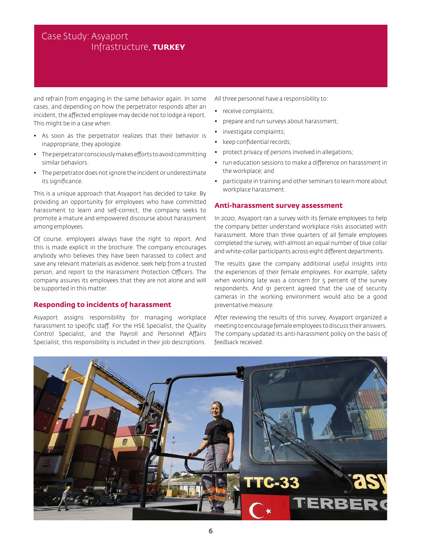## Case Study: Asyaport Infrastructure, **TURKEY**

and refrain from engaging in the same behavior again. In some cases, and depending on how the perpetrator responds after an incident, the affected employee may decide not to lodge a report. This might be in a case when:

- As soon as the perpetrator realizes that their behavior is inappropriate, they apologize.
- The perpetrator consciously makes efforts to avoid committing similar behaviors.
- The perpetrator does not ignore the incident or underestimate its significance.

This is a unique approach that Asyaport has decided to take. By providing an opportunity for employees who have committed harassment to learn and self-correct, the company seeks to promote a mature and empowered discourse about harassment among employees.

Of course, employees always have the right to report. And this is made explicit in the brochure. The company encourages anybody who believes they have been harassed to collect and save any relevant materials as evidence, seek help from a trusted person, and report to the Harassment Protection Officers. The company assures its employees that they are not alone and will be supported in this matter.

#### **Responding to incidents of harassment**

Asyaport assigns responsibility for managing workplace harassment to specific staff. For the HSE Specialist, the Quality Control Specialist, and the Payroll and Personnel Affairs Specialist, this responsibility is included in their job descriptions.

All three personnel have a responsibility to:

- receive complaints;
- prepare and run surveys about harassment;
- investigate complaints;
- keep confidential records;
- protect privacy of persons involved in allegations;
- run education sessions to make a difference on harassment in the workplace; and
- participate in training and other seminars to learn more about workplace harassment.

#### **Anti-harassment survey assessment**

In 2020, Asyaport ran a survey with its female employees to help the company better understand workplace risks associated with harassment. More than three quarters of all female employees completed the survey, with almost an equal number of blue collar and white-collar participants across eight different departments.

The results gave the company additional useful insights into the experiences of their female employees. For example, safety when working late was a concern for 5 percent of the survey respondents. And 91 percent agreed that the use of security cameras in the working environment would also be a good preventative measure.

After reviewing the results of this survey, Asyaport organized a meeting to encourage female employees to discuss their answers. The company updated its anti-harassment policy on the basis of feedback received.